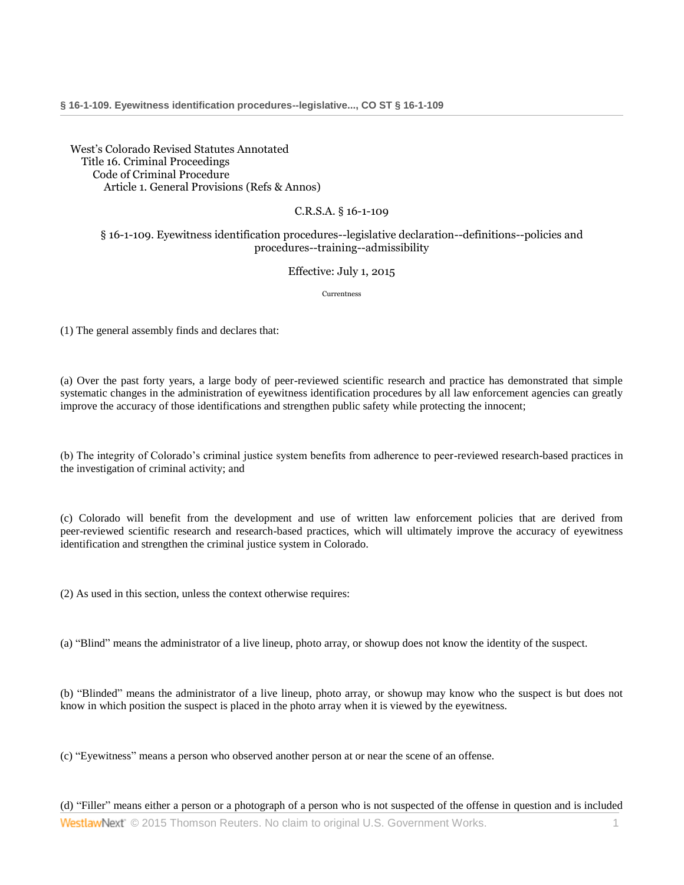[West's Colorado Revised Statutes Annotated](http://www.westlaw.com/Browse/Home/StatutesCourtRules/ColoradoStatutesCourtRules?transitionType=DocumentItem&contextData=(sc.Category)&rs=clbt1.0&vr=3.0)  [Title 16. Criminal Proceedings](http://www.westlaw.com/Browse/Home/StatutesCourtRules/ColoradoStatutesCourtRules?guid=N6F01A6E0D88911DBA93CE8A0BD96DE4A&transitionType=DocumentItem&contextData=(sc.Category)&rs=clbt1.0&vr=3.0) [Code of Criminal Procedure](http://www.westlaw.com/Browse/Home/StatutesCourtRules/ColoradoStatutesCourtRules?guid=N6F166760D88911DBA93CE8A0BD96DE4A&transitionType=DocumentItem&contextData=(sc.Category)&rs=clbt1.0&vr=3.0) [Article 1. General Provisions \(Refs & Annos\)](http://www.westlaw.com/Browse/Home/StatutesCourtRules/ColoradoStatutesCourtRules?guid=N6F273040D88911DBA93CE8A0BD96DE4A&transitionType=DocumentItem&contextData=(sc.Category)&rs=clbt1.0&vr=3.0)

## C.R.S.A. § 16-1-109

## § 16-1-109. Eyewitness identification procedures--legislative declaration--definitions--policies and procedures--training--admissibility

## Effective: July 1, 2015

Currentness

(1) The general assembly finds and declares that:

(a) Over the past forty years, a large body of peer-reviewed scientific research and practice has demonstrated that simple systematic changes in the administration of eyewitness identification procedures by all law enforcement agencies can greatly improve the accuracy of those identifications and strengthen public safety while protecting the innocent;

(b) The integrity of Colorado's criminal justice system benefits from adherence to peer-reviewed research-based practices in the investigation of criminal activity; and

(c) Colorado will benefit from the development and use of written law enforcement policies that are derived from peer-reviewed scientific research and research-based practices, which will ultimately improve the accuracy of eyewitness identification and strengthen the criminal justice system in Colorado.

(2) As used in this section, unless the context otherwise requires:

(a) "Blind" means the administrator of a live lineup, photo array, or showup does not know the identity of the suspect.

(b) "Blinded" means the administrator of a live lineup, photo array, or showup may know who the suspect is but does not know in which position the suspect is placed in the photo array when it is viewed by the eyewitness.

(c) "Eyewitness" means a person who observed another person at or near the scene of an offense.

**WestlawNext** © 2015 Thomson Reuters. No claim to original U.S. Government Works. 1 (d) "Filler" means either a person or a photograph of a person who is not suspected of the offense in question and is included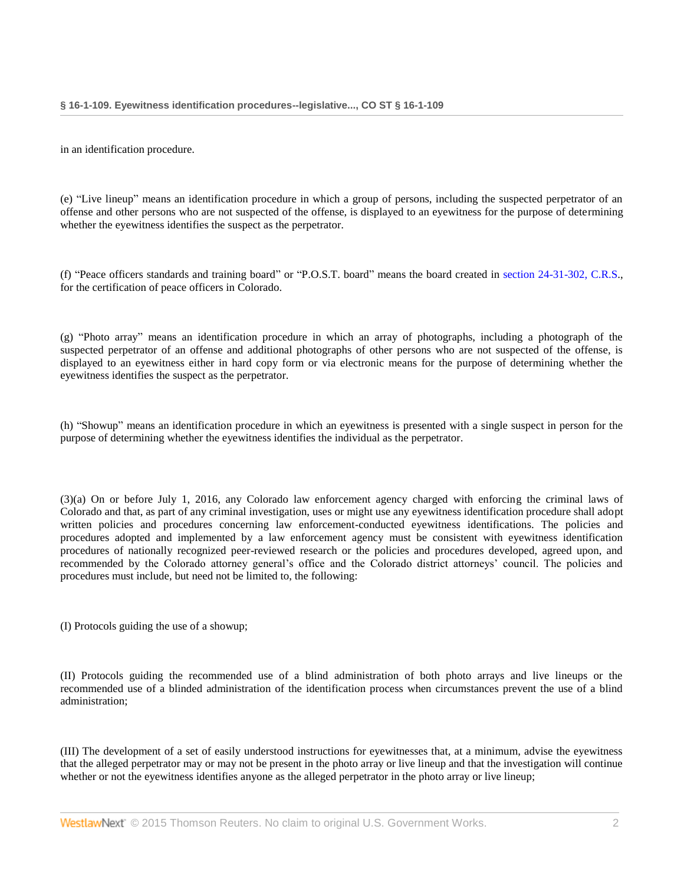in an identification procedure.

(e) "Live lineup" means an identification procedure in which a group of persons, including the suspected perpetrator of an offense and other persons who are not suspected of the offense, is displayed to an eyewitness for the purpose of determining whether the eyewitness identifies the suspect as the perpetrator.

(f) "Peace officers standards and training board" or "P.O.S.T. board" means the board created in [section 24-31-302, C.R.S.](http://www.westlaw.com/Link/Document/FullText?findType=L&pubNum=1000517&cite=COSTS24-31-302&originatingDoc=N039B50800FD111E59975A90F0857D3A0&refType=LQ&originationContext=document&vr=3.0&rs=cblt1.0&transitionType=DocumentItem&contextData=(sc.Category)), for the certification of peace officers in Colorado.

(g) "Photo array" means an identification procedure in which an array of photographs, including a photograph of the suspected perpetrator of an offense and additional photographs of other persons who are not suspected of the offense, is displayed to an eyewitness either in hard copy form or via electronic means for the purpose of determining whether the eyewitness identifies the suspect as the perpetrator.

(h) "Showup" means an identification procedure in which an eyewitness is presented with a single suspect in person for the purpose of determining whether the eyewitness identifies the individual as the perpetrator.

(3)(a) On or before July 1, 2016, any Colorado law enforcement agency charged with enforcing the criminal laws of Colorado and that, as part of any criminal investigation, uses or might use any eyewitness identification procedure shall adopt written policies and procedures concerning law enforcement-conducted eyewitness identifications. The policies and procedures adopted and implemented by a law enforcement agency must be consistent with eyewitness identification procedures of nationally recognized peer-reviewed research or the policies and procedures developed, agreed upon, and recommended by the Colorado attorney general's office and the Colorado district attorneys' council. The policies and procedures must include, but need not be limited to, the following:

(I) Protocols guiding the use of a showup;

(II) Protocols guiding the recommended use of a blind administration of both photo arrays and live lineups or the recommended use of a blinded administration of the identification process when circumstances prevent the use of a blind administration;

(III) The development of a set of easily understood instructions for eyewitnesses that, at a minimum, advise the eyewitness that the alleged perpetrator may or may not be present in the photo array or live lineup and that the investigation will continue whether or not the eyewitness identifies anyone as the alleged perpetrator in the photo array or live lineup;